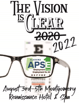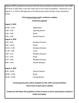Alabama APSE is pleased to announce that the annual conference held each year since 1998 will return in 2022 after a two-year hiatus due to the Covid-19 pandemic. Please join us on August 3—5, 2022 in Montgomery at the Renaissance Hotel and Spa at the Convention Center.

#### **Check www.al-apse.org for conference updates**

**Preliminary Agenda:**

### **August 3, 2022**

| $10:00 - 12:55$       | Registration             |
|-----------------------|--------------------------|
| $ 1:00 - 2:30$        | <b>Opening Session</b>   |
| l2:30—3:00            | <b>Break</b>             |
| 3:00—4:30             | <b>General Session</b>   |
| <b>August 4, 2022</b> |                          |
| l8:30—9:45            | <b>Breakout Sessions</b> |
| $9:45 - 10:15$        | <b>Break</b>             |
| 10:15–11:30           | <b>Breakout Sessions</b> |
| $11:30 - 1:00$        | Lunch                    |
| $1:00 - 2:15$         | <b>Breakout Sessions</b> |
| $2:15 - 2:45$         | <b>Break</b>             |
| 2:45-4:00             | <b>Breakout Sessions</b> |
| 6:00 – Until          | Awards Banquet           |
|                       |                          |

### **August 5, 2022**

| l8:30—10:00  | <b>General Session</b> |
|--------------|------------------------|
| l10:00—10:30 | <b>Break</b>           |
| 10:30—12:00  | <b>Closing Session</b> |

# **Continuing Education will be available for CRC, CESP and Social Workers Check www-al-apse.org for updates**

**Conference will follow CDC guidelines at time of event as well as hotel policies related to health and safety!**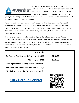

Alabama APSE is going on an *EVENTUR.* We have contracted with one of the leading **conference apps and platforms** on the market today. With this platform you'll  $\Box$  be able to register online, check in onsite at the kiosk,

print your name tag, be part of an interactive audience and download the event app that will eliminate the need for a paper program.

As an interactive audience member you'll be able to check-in to sessions, interact with presenters, exhibitors, organizers, and each other, with the Eventur Audience Response System. What does interactive mean? It means Live Chat and Polling, Digital Q&A, Session Comments, Social Activity Feed, Gamification, Doc Access, Notation Plus, Surveys & CE certificate delivery.

This year's conference will offer a variety of general and break-out sessions. We've "downsized" our breakouts due to ongoing concerns with social distancing and the challenge this presents in small breakout rooms. Instead, we're offering three training tracks, each offering four breakouts throughout day two. You'll be free to move in and out of tracks or remain in the same track all day.

| Registration                                        |          |
|-----------------------------------------------------|----------|
| <b>Conference Registration Before July 16, 2022</b> | \$240.00 |
| <b>After July 16, 2022</b>                          | \$275.00 |
| <b>State Agency Staff can request PO Purchase</b>   |          |
| Self-advocates and family members see page 4        |          |
| Click below or scan the QR code to register!        |          |
| <b>Click Here To Register</b>                       |          |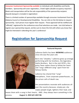**Consumer Involvement Sponsorship available** to individuals with disabilities and family members. Sponsorship will cover registration, 2 hotel nights (double occupancy required.) Meals and transportation will be the sole responsibility of the sponsorship recipient. (Awards banquet is included in registration)

There is a limited number of sponsorships available through consumer involvement from the Alabama Council on Developmental Disabilities. You can click on the link below to request sponsorship. Each person must register their request. Those approved will be notified and "officially" registered for the conference once final selections are made. Just click below to register your sponsorship request, and be sure to share this link with others you know that might be interested in attending this year's conference!

# **[Registration for Sponsorship Request](http://events.constantcontact.com/register/event?llr=eq8in9eab&oeidk=a07ej5t6rkocf12f445)**



# **Featured Keynote**

LaDonna Gatlin has been **WOWING** audiences since she was five years old.

Born into "showbiz," LaDonna grew up onstage performing with her brothers, the legendary Gatlin Brothers. But in the mid 1970's, this gutsy Texas native chose to follow her heart and "sing a different song" apart from her famous family.

LaDonna has shared that "song" everywhere...from corporate powerhouses...to the prison cells of death row.

Her presentations resonate with audiences all over the country because, simply put, she makes people laugh, lightens their load, and

leaves them with a song in their hearts. AND...they always learn something in the process. **August 3, 2022 @ 3:00 P.M.**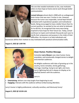

*The one that needed motivation to live, now motivates others to have hope at home and at work through better communication.*

**Lemzel Johnson** almost died in 2008 with an undiagnosed brain tumor that was over 2 inches in size. However, because the tumor was inoperable, Lemzel kept himself motivated with inspirational speakers and motivational books. Being encouraged to have a better future than his current position, he worked to live out what he believed. As he did this, he recognized that many were being inspired to have hope for their future too. Today, Lemzel continues to inspire and motivate thousands each year to clarify their uniqueness and purpose in the midst of their difficulties. His mission is to help individuals and

businesses define their motives to stay motivated with practical communication skills.

### **August 3, 2022 @ 1:00 P.M.**



# **Clean Humor. Positive Message.**

Comedian **Larry Weaver** uses clean humor, funny anecdotes, and emotionally charged stories to delight and entertain audiences.

He delights audiences with tales of growing up in the country, home remedies, family gatherings, marriage, traveling, trying to eat right, and more. Larry's lightning-fast wit is always on display as he playfully banters with the audience.

Larry is:

- **Entertaining**: delivers non-stop laughs from beginning to end.
- **Engaging**: interacts with the audience without embarrassing attendees.

Larry's humor is highly professional, culturally sensitive, and hilariously funny!

**August 5, 2022 @ 10:30 A.M.**